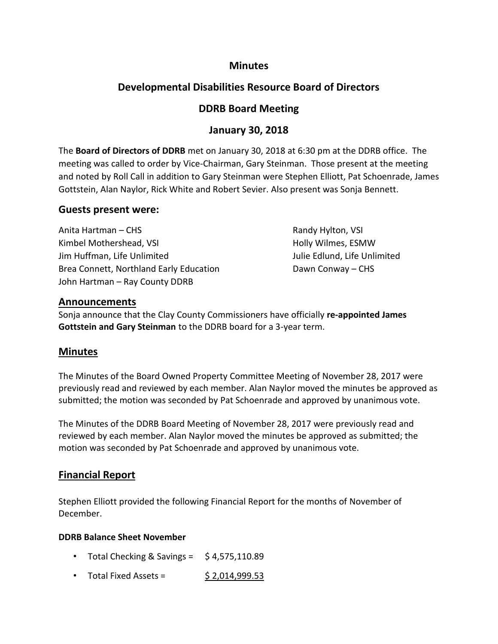### **Minutes**

# **Developmental Disabilities Resource Board of Directors**

## **DDRB Board Meeting**

## **January 30, 2018**

The **Board of Directors of DDRB** met on January 30, 2018 at 6:30 pm at the DDRB office. The meeting was called to order by Vice-Chairman, Gary Steinman. Those present at the meeting and noted by Roll Call in addition to Gary Steinman were Stephen Elliott, Pat Schoenrade, James Gottstein, Alan Naylor, Rick White and Robert Sevier. Also present was Sonja Bennett.

#### **Guests present were:**

Anita Hartman – CHS Randy Hylton, VSI Kimbel Mothershead, VSI **Holly Wilmes, ESMW** Jim Huffman, Life Unlimited Julie Edlund, Life Unlimited Brea Connett, Northland Early Education **Dawn Conway – CHS** John Hartman – Ray County DDRB

#### **Announcements**

Sonja announce that the Clay County Commissioners have officially **re-appointed James Gottstein and Gary Steinman** to the DDRB board for a 3-year term.

### **Minutes**

The Minutes of the Board Owned Property Committee Meeting of November 28, 2017 were previously read and reviewed by each member. Alan Naylor moved the minutes be approved as submitted; the motion was seconded by Pat Schoenrade and approved by unanimous vote.

The Minutes of the DDRB Board Meeting of November 28, 2017 were previously read and reviewed by each member. Alan Naylor moved the minutes be approved as submitted; the motion was seconded by Pat Schoenrade and approved by unanimous vote.

### **Financial Report**

Stephen Elliott provided the following Financial Report for the months of November of December.

#### **DDRB Balance Sheet November**

- Total Checking & Savings =  $\frac{1}{2}$  4,575,110.89
- Total Fixed Assets =  $$2,014,999.53$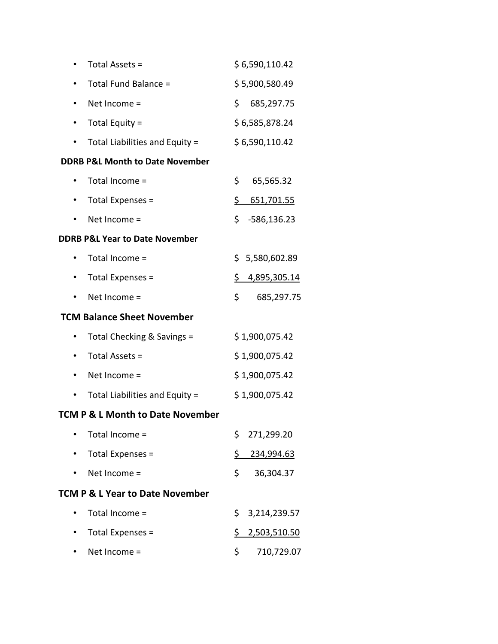|                                             | Total Assets =                             | \$6,590,110.42       |  |  |
|---------------------------------------------|--------------------------------------------|----------------------|--|--|
|                                             | Total Fund Balance =                       | \$5,900,580.49       |  |  |
| ٠                                           | Net Income =                               | \$685,297.75         |  |  |
| ٠                                           | Total Equity =                             | \$6,585,878.24       |  |  |
|                                             | Total Liabilities and Equity =             | \$6,590,110.42       |  |  |
|                                             | <b>DDRB P&amp;L Month to Date November</b> |                      |  |  |
|                                             | Total Income =                             | \$<br>65,565.32      |  |  |
|                                             | Total Expenses =                           | \$<br>651,701.55     |  |  |
|                                             | Net Income =                               | \$.<br>$-586,136.23$ |  |  |
| <b>DDRB P&amp;L Year to Date November</b>   |                                            |                      |  |  |
|                                             | Total Income =                             | \$5,580,602.89       |  |  |
|                                             | Total Expenses =                           | \$4,895,305.14       |  |  |
|                                             | Net Income =                               | \$<br>685,297.75     |  |  |
|                                             | <b>TCM Balance Sheet November</b>          |                      |  |  |
|                                             | Total Checking & Savings =                 | \$1,900,075.42       |  |  |
|                                             | Total Assets =                             | \$1,900,075.42       |  |  |
|                                             | Net Income =                               | \$1,900,075.42       |  |  |
|                                             | Total Liabilities and Equity =             | \$1,900,075.42       |  |  |
| <b>TCM P &amp; L Month to Date November</b> |                                            |                      |  |  |
|                                             | Total Income =                             | \$<br>271,299.20     |  |  |
|                                             | Total Expenses =                           | \$.<br>234,994.63    |  |  |
|                                             | Net Income =                               | \$<br>36,304.37      |  |  |
| <b>TCM P &amp; L Year to Date November</b>  |                                            |                      |  |  |
|                                             | Total Income =                             | \$.<br>3,214,239.57  |  |  |
|                                             | Total Expenses =                           | \$<br>2,503,510.50   |  |  |

• Net Income =  $$ 710,729.07$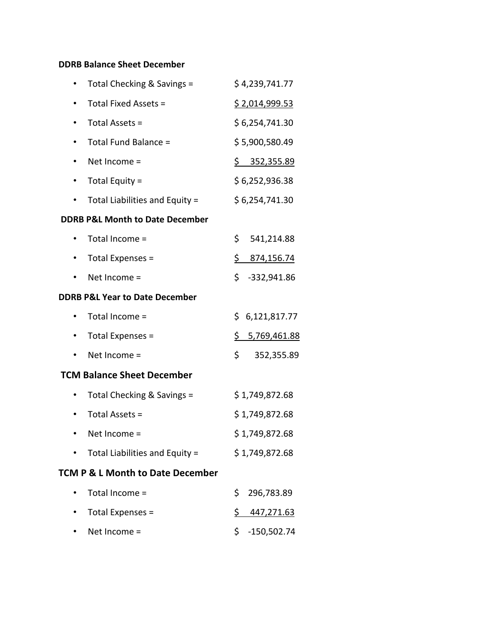### **DDRB Balance Sheet December**

|                                             | Total Checking & Savings =     |            | \$4,239,741.77           |  |  |
|---------------------------------------------|--------------------------------|------------|--------------------------|--|--|
|                                             | Total Fixed Assets =           |            | \$2,014,999.53           |  |  |
|                                             | Total Assets =                 |            | \$6,254,741.30           |  |  |
|                                             | Total Fund Balance =           |            | \$5,900,580.49           |  |  |
|                                             | Net Income =                   |            | $\frac{5}{2}$ 352,355.89 |  |  |
|                                             | Total Equity =                 |            | \$6,252,936.38           |  |  |
|                                             | Total Liabilities and Equity = |            | \$6,254,741.30           |  |  |
| <b>DDRB P&amp;L Month to Date December</b>  |                                |            |                          |  |  |
|                                             | Total Income =                 | \$         | 541,214.88               |  |  |
|                                             | Total Expenses =               | <u>\$_</u> | 874,156.74               |  |  |
|                                             | Net Income =                   | \$         | $-332,941.86$            |  |  |
| <b>DDRB P&amp;L Year to Date December</b>   |                                |            |                          |  |  |
|                                             | Total Income =                 | \$         | 6,121,817.77             |  |  |
|                                             | Total Expenses =               | \$         | 5,769,461.88             |  |  |
|                                             | Net Income =                   | \$         | 352,355.89               |  |  |
| <b>TCM Balance Sheet December</b>           |                                |            |                          |  |  |
|                                             | Total Checking & Savings =     |            | \$1,749,872.68           |  |  |
|                                             | Total Assets =                 |            | \$1,749,872.68           |  |  |
|                                             | Net Income =                   |            | \$1,749,872.68           |  |  |
|                                             | Total Liabilities and Equity = |            | \$1,749,872.68           |  |  |
| <b>TCM P &amp; L Month to Date December</b> |                                |            |                          |  |  |
|                                             | Total Income =                 | \$         | 296,783.89               |  |  |

• Total Expenses =  $\frac{1}{2}$   $\frac{447,271.63}{2}$ • Net Income =  $$ 5 -150,502.74$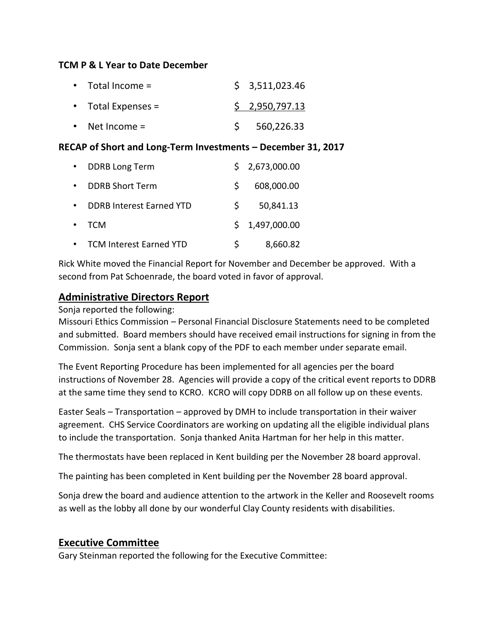#### **TCM P & L Year to Date December**

| $\bullet$ Total Income = | \$3,511,023.46 |
|--------------------------|----------------|
| • Total Expenses $=$     | \$2,950,797.13 |
| • Net Income $=$         | 560,226.33     |

#### **RECAP of Short and Long-Term Investments – December 31, 2017**

|           | <b>DDRB Long Term</b>           |              | \$2,673,000.00 |
|-----------|---------------------------------|--------------|----------------|
|           | <b>DDRB Short Term</b>          | $\mathsf{S}$ | 608,000.00     |
|           | <b>DDRB Interest Earned YTD</b> | S.           | 50,841.13      |
| $\bullet$ | <b>TCM</b>                      |              | \$1,497,000.00 |
|           | <b>TCM Interest Earned YTD</b>  |              | 8,660.82       |

Rick White moved the Financial Report for November and December be approved. With a second from Pat Schoenrade, the board voted in favor of approval.

### **Administrative Directors Report**

#### Sonja reported the following:

Missouri Ethics Commission – Personal Financial Disclosure Statements need to be completed and submitted. Board members should have received email instructions for signing in from the Commission. Sonja sent a blank copy of the PDF to each member under separate email.

The Event Reporting Procedure has been implemented for all agencies per the board instructions of November 28. Agencies will provide a copy of the critical event reports to DDRB at the same time they send to KCRO. KCRO will copy DDRB on all follow up on these events.

Easter Seals – Transportation – approved by DMH to include transportation in their waiver agreement. CHS Service Coordinators are working on updating all the eligible individual plans to include the transportation. Sonja thanked Anita Hartman for her help in this matter.

The thermostats have been replaced in Kent building per the November 28 board approval.

The painting has been completed in Kent building per the November 28 board approval.

Sonja drew the board and audience attention to the artwork in the Keller and Roosevelt rooms as well as the lobby all done by our wonderful Clay County residents with disabilities.

#### **Executive Committee**

Gary Steinman reported the following for the Executive Committee: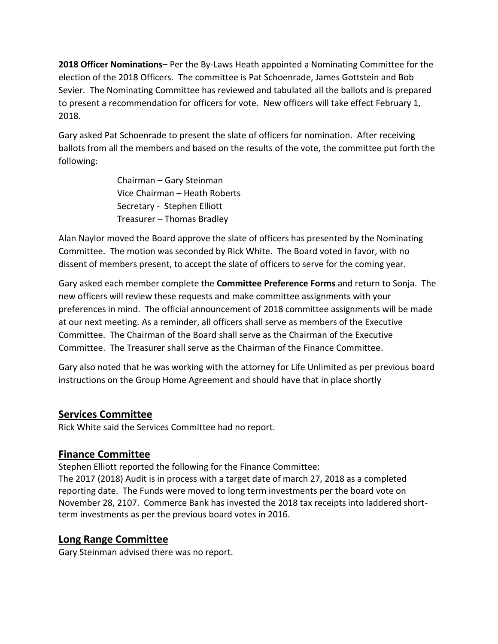**2018 Officer Nominations–** Per the By-Laws Heath appointed a Nominating Committee for the election of the 2018 Officers. The committee is Pat Schoenrade, James Gottstein and Bob Sevier. The Nominating Committee has reviewed and tabulated all the ballots and is prepared to present a recommendation for officers for vote. New officers will take effect February 1, 2018.

Gary asked Pat Schoenrade to present the slate of officers for nomination. After receiving ballots from all the members and based on the results of the vote, the committee put forth the following:

> Chairman – Gary Steinman Vice Chairman – Heath Roberts Secretary - Stephen Elliott Treasurer – Thomas Bradley

Alan Naylor moved the Board approve the slate of officers has presented by the Nominating Committee. The motion was seconded by Rick White. The Board voted in favor, with no dissent of members present, to accept the slate of officers to serve for the coming year.

Gary asked each member complete the **Committee Preference Forms** and return to Sonja. The new officers will review these requests and make committee assignments with your preferences in mind. The official announcement of 2018 committee assignments will be made at our next meeting. As a reminder, all officers shall serve as members of the Executive Committee. The Chairman of the Board shall serve as the Chairman of the Executive Committee. The Treasurer shall serve as the Chairman of the Finance Committee.

Gary also noted that he was working with the attorney for Life Unlimited as per previous board instructions on the Group Home Agreement and should have that in place shortly

### **Services Committee**

Rick White said the Services Committee had no report.

### **Finance Committee**

Stephen Elliott reported the following for the Finance Committee: The 2017 (2018) Audit is in process with a target date of march 27, 2018 as a completed reporting date. The Funds were moved to long term investments per the board vote on November 28, 2107. Commerce Bank has invested the 2018 tax receipts into laddered shortterm investments as per the previous board votes in 2016.

## **Long Range Committee**

Gary Steinman advised there was no report.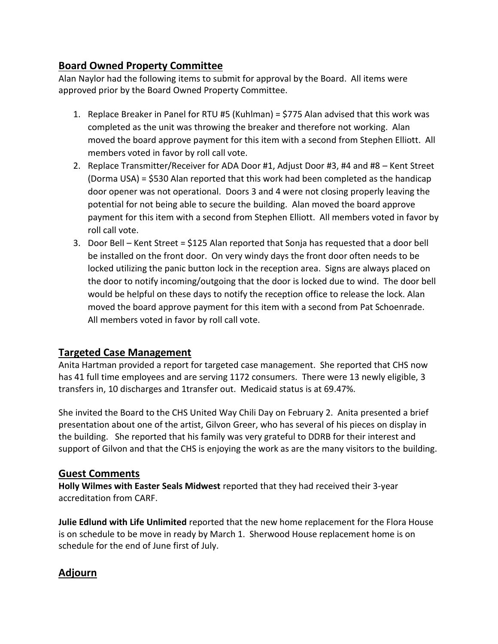# **Board Owned Property Committee**

Alan Naylor had the following items to submit for approval by the Board. All items were approved prior by the Board Owned Property Committee.

- 1. Replace Breaker in Panel for RTU #5 (Kuhlman) = \$775 Alan advised that this work was completed as the unit was throwing the breaker and therefore not working. Alan moved the board approve payment for this item with a second from Stephen Elliott. All members voted in favor by roll call vote.
- 2. Replace Transmitter/Receiver for ADA Door #1, Adjust Door #3, #4 and #8 Kent Street (Dorma USA) = \$530 Alan reported that this work had been completed as the handicap door opener was not operational. Doors 3 and 4 were not closing properly leaving the potential for not being able to secure the building. Alan moved the board approve payment for this item with a second from Stephen Elliott. All members voted in favor by roll call vote.
- 3. Door Bell Kent Street = \$125 Alan reported that Sonja has requested that a door bell be installed on the front door. On very windy days the front door often needs to be locked utilizing the panic button lock in the reception area. Signs are always placed on the door to notify incoming/outgoing that the door is locked due to wind. The door bell would be helpful on these days to notify the reception office to release the lock. Alan moved the board approve payment for this item with a second from Pat Schoenrade. All members voted in favor by roll call vote.

## **Targeted Case Management**

Anita Hartman provided a report for targeted case management. She reported that CHS now has 41 full time employees and are serving 1172 consumers. There were 13 newly eligible, 3 transfers in, 10 discharges and 1transfer out. Medicaid status is at 69.47%.

She invited the Board to the CHS United Way Chili Day on February 2. Anita presented a brief presentation about one of the artist, Gilvon Greer, who has several of his pieces on display in the building. She reported that his family was very grateful to DDRB for their interest and support of Gilvon and that the CHS is enjoying the work as are the many visitors to the building.

## **Guest Comments**

**Holly Wilmes with Easter Seals Midwest** reported that they had received their 3-year accreditation from CARF.

**Julie Edlund with Life Unlimited** reported that the new home replacement for the Flora House is on schedule to be move in ready by March 1. Sherwood House replacement home is on schedule for the end of June first of July.

# **Adjourn**